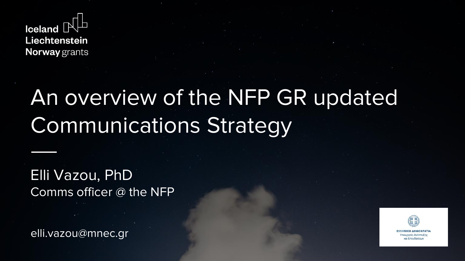

## An overview of the NFP GR updated Communications Strategy

Elli Vazou, PhD Comms officer @ the NFP

elli.vazou@mnec.gr

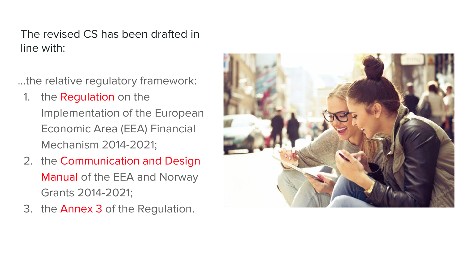#### The revised CS has been drafted in line with:

…the relative regulatory framework:

- 1. the **Regulation** on the Implementation of the European Economic Area (EEA) Financial Mechanism 2014-2021;
- 2. the Communication and Design Manual of the EEA and Norway Grants 2014-2021;
- 3. the Annex 3 of the Regulation.

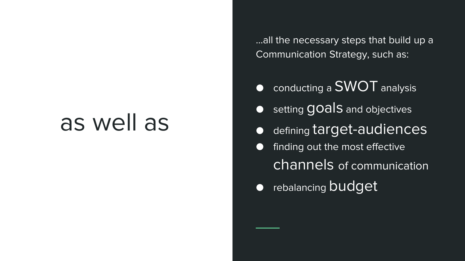## as well as

…all the necessary steps that build up a Communication Strategy, such as:

- conducting a SWOT analysis
- **O** setting **goals** and objectives
- defining target-audiences
- finding out the most effective channels of communication
- rebalancing budget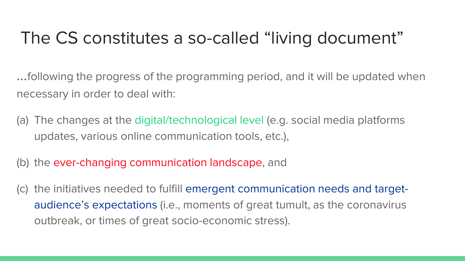## The CS constitutes a so-called "living document"

…following the progress of the programming period, and it will be updated when necessary in order to deal with:

- (a) The changes at the digital/technological level (e.g. social media platforms updates, various online communication tools, etc.),
- (b) the ever-changing communication landscape, and
- (c) the initiatives needed to fulfill emergent communication needs and targetaudience's expectations (i.e., moments of great tumult, as the coronavirus outbreak, or times of great socio-economic stress).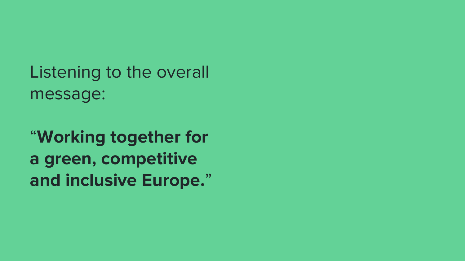Listening to the overall message:

"**Working together for a green, competitive and inclusive Europe.**"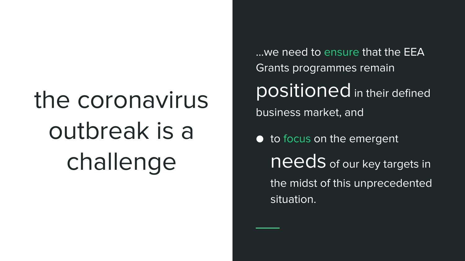# the coronavirus outbreak is a challenge

…we need to ensure that the EEA Grants programmes remain positioned in their defined business market, and

● to focus on the emergent needs of our key targets in the midst of this unprecedented situation.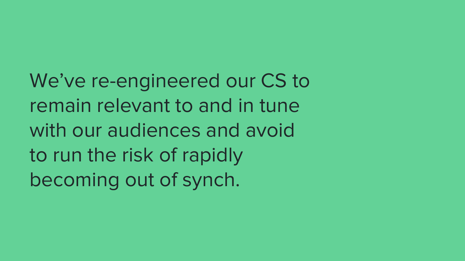We've re-engineered our CS to remain relevant to and in tune with our audiences and avoid to run the risk of rapidly becoming out of synch.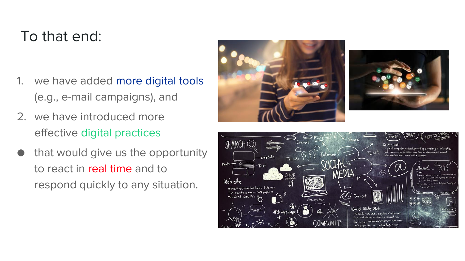#### To that end:

- 1. we have added more digital tools (e.g., e-mail campaigns), and
- 2. we have introduced more effective digital practices
- that would give us the opportunity to react in real time and to respond quickly to any situation.





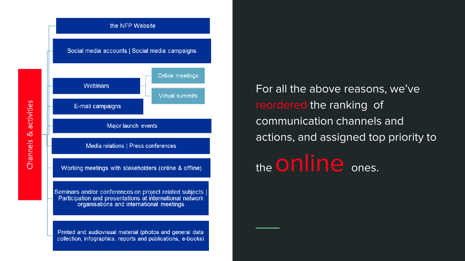

For all the above reasons, we've reordered the ranking of communication channels and actions, and assigned top priority to

the **ONINE** ones.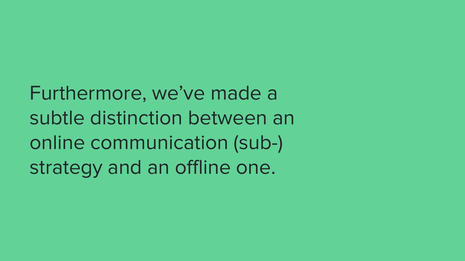Furthermore, we've made a subtle distinction between an online communication (sub-) strategy and an offline one.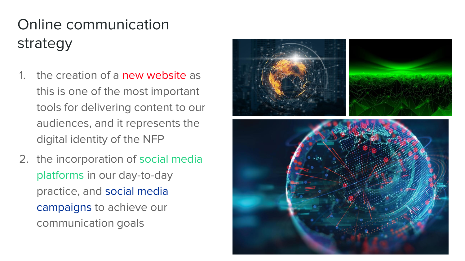## Online communication strategy

- 1. the creation of a new website as this is one of the most important tools for delivering content to our audiences, and it represents the digital identity of the NFP
- 2. the incorporation of social media platforms in our day-to-day practice, and social media campaigns to achieve our communication goals

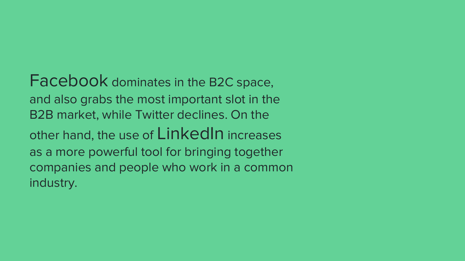Facebook dominates in the B2C space, and also grabs the most important slot in the B2B market, while Twitter declines. On the other hand, the use of LinkedIn increases as a more powerful tool for bringing together companies and people who work in a common industry.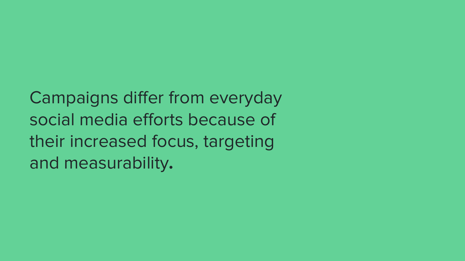Campaigns differ from everyday social media efforts because of their increased focus, targeting and measurability**.**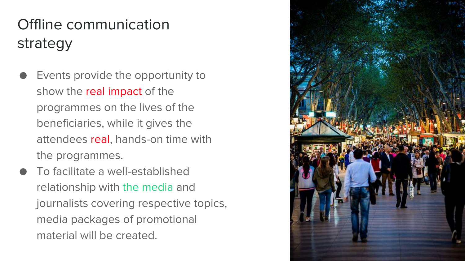## Offline communication strategy

- Events provide the opportunity to show the real impact of the programmes on the lives of the beneficiaries, while it gives the attendees real, hands-on time with the programmes.
- To facilitate a well-established relationship with the media and journalists covering respective topics, media packages of promotional material will be created.

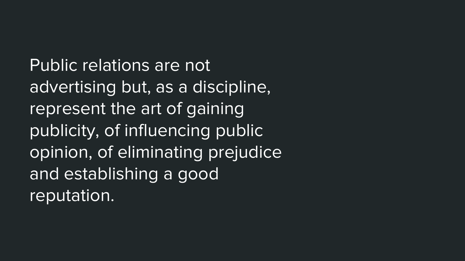Public relations are not advertising but, as a discipline, represent the art of gaining publicity, of influencing public opinion, of eliminating prejudice and establishing a good reputation.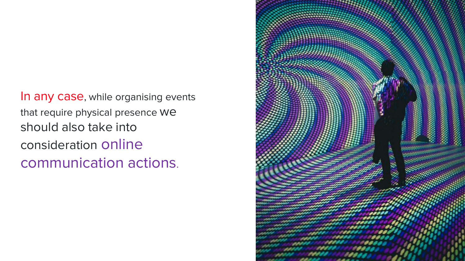In any case, while organising events that require physical presence we should also take into consideration online communication actions.

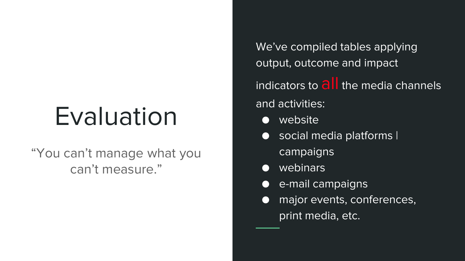## Evaluation

#### "You can't manage what you can't measure."

We've compiled tables applying output, outcome and impact

indicators to  $\partial I$  the media channels and activities:

- website
- social media platforms I campaigns
- webinars
- e-mail campaigns
- major events, conferences, print media, etc.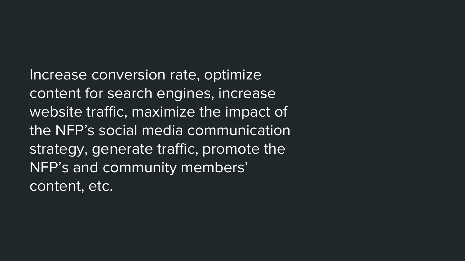Increase conversion rate, optimize content for search engines, increase website traffic, maximize the impact of the NFP's social media communication strategy, generate traffic, promote the NFP's and community members' content, etc.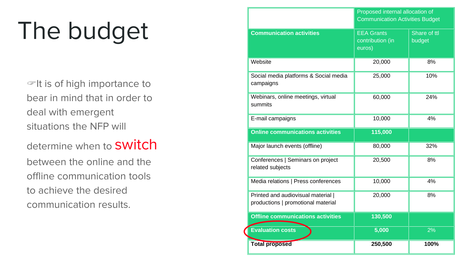# The budget

 $\mathcal{F}$ It is of high importance to bear in mind that in order to deal with emergent situations the NFP will

determine when to **SWitch** 

between the online and the offline communication tools to achieve the desired communication results.

|                                                                          | Proposed internal allocation of<br><b>Communication Activities Budget</b> |                        |
|--------------------------------------------------------------------------|---------------------------------------------------------------------------|------------------------|
| <b>Communication activities</b>                                          | <b>EEA Grants</b><br>contribution (in<br>euros)                           | Share of ttl<br>budget |
| Website                                                                  | 20,000                                                                    | 8%                     |
| Social media platforms & Social media<br>campaigns                       | 25,000                                                                    | 10%                    |
| Webinars, online meetings, virtual<br>summits                            | 60,000                                                                    | 24%                    |
| E-mail campaigns                                                         | 10,000                                                                    | 4%                     |
| <b>Online communications activities</b>                                  | 115,000                                                                   |                        |
| Major launch events (offline)                                            | 80,000                                                                    | 32%                    |
| Conferences   Seminars on project<br>related subjects                    | 20,500                                                                    | 8%                     |
| Media relations   Press conferences                                      | 10,000                                                                    | 4%                     |
| Printed and audiovisual material  <br>productions   promotional material | 20,000                                                                    | 8%                     |
| <b>Offline communications activities</b>                                 | 130,500                                                                   |                        |
| <b>Evaluation costs</b>                                                  | 5,000                                                                     | 2%                     |
| <b>Total proposed</b>                                                    | 250,500                                                                   | 100%                   |